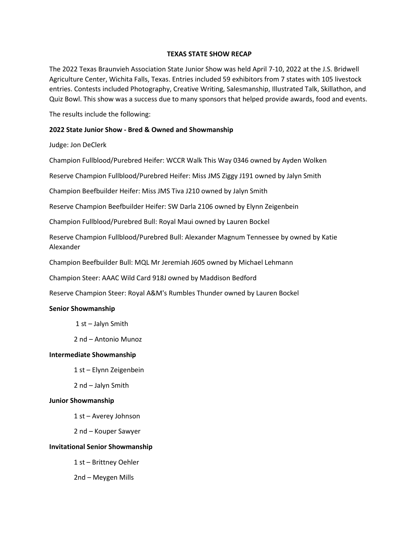## **TEXAS STATE SHOW RECAP**

The 2022 Texas Braunvieh Association State Junior Show was held April 7-10, 2022 at the J.S. Bridwell Agriculture Center, Wichita Falls, Texas. Entries included 59 exhibitors from 7 states with 105 livestock entries. Contests included Photography, Creative Writing, Salesmanship, Illustrated Talk, Skillathon, and Quiz Bowl. This show was a success due to many sponsors that helped provide awards, food and events.

The results include the following:

## **2022 State Junior Show - Bred & Owned and Showmanship**

Judge: Jon DeClerk

Champion Fullblood/Purebred Heifer: WCCR Walk This Way 0346 owned by Ayden Wolken

Reserve Champion Fullblood/Purebred Heifer: Miss JMS Ziggy J191 owned by Jalyn Smith

Champion Beefbuilder Heifer: Miss JMS Tiva J210 owned by Jalyn Smith

Reserve Champion Beefbuilder Heifer: SW Darla 2106 owned by Elynn Zeigenbein

Champion Fullblood/Purebred Bull: Royal Maui owned by Lauren Bockel

Reserve Champion Fullblood/Purebred Bull: Alexander Magnum Tennessee by owned by Katie Alexander

Champion Beefbuilder Bull: MQL Mr Jeremiah J605 owned by Michael Lehmann

Champion Steer: AAAC Wild Card 918J owned by Maddison Bedford

Reserve Champion Steer: Royal A&M's Rumbles Thunder owned by Lauren Bockel

### **Senior Showmanship**

1 st – Jalyn Smith

2 nd – Antonio Munoz

### **Intermediate Showmanship**

1 st – Elynn Zeigenbein

2 nd – Jalyn Smith

### **Junior Showmanship**

1 st – Averey Johnson

2 nd – Kouper Sawyer

### **Invitational Senior Showmanship**

1 st – Brittney Oehler

2nd – Meygen Mills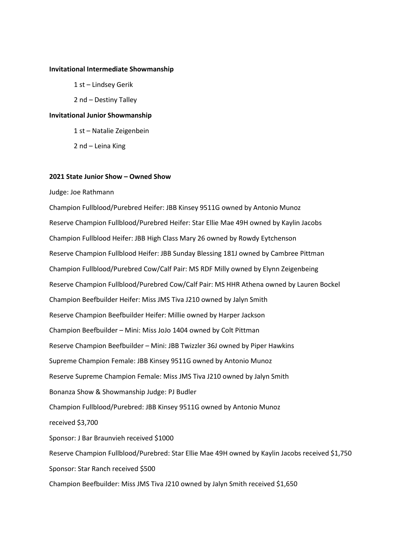#### **Invitational Intermediate Showmanship**

1 st – Lindsey Gerik

2 nd – Destiny Talley

#### **Invitational Junior Showmanship**

1 st – Natalie Zeigenbein

2 nd – Leina King

#### **2021 State Junior Show – Owned Show**

Judge: Joe Rathmann

Champion Fullblood/Purebred Heifer: JBB Kinsey 9511G owned by Antonio Munoz Reserve Champion Fullblood/Purebred Heifer: Star Ellie Mae 49H owned by Kaylin Jacobs Champion Fullblood Heifer: JBB High Class Mary 26 owned by Rowdy Eytchenson Reserve Champion Fullblood Heifer: JBB Sunday Blessing 181J owned by Cambree Pittman Champion Fullblood/Purebred Cow/Calf Pair: MS RDF Milly owned by Elynn Zeigenbeing Reserve Champion Fullblood/Purebred Cow/Calf Pair: MS HHR Athena owned by Lauren Bockel Champion Beefbuilder Heifer: Miss JMS Tiva J210 owned by Jalyn Smith Reserve Champion Beefbuilder Heifer: Millie owned by Harper Jackson Champion Beefbuilder – Mini: Miss JoJo 1404 owned by Colt Pittman Reserve Champion Beefbuilder – Mini: JBB Twizzler 36J owned by Piper Hawkins Supreme Champion Female: JBB Kinsey 9511G owned by Antonio Munoz Reserve Supreme Champion Female: Miss JMS Tiva J210 owned by Jalyn Smith Bonanza Show & Showmanship Judge: PJ Budler Champion Fullblood/Purebred: JBB Kinsey 9511G owned by Antonio Munoz received \$3,700 Sponsor: J Bar Braunvieh received \$1000 Reserve Champion Fullblood/Purebred: Star Ellie Mae 49H owned by Kaylin Jacobs received \$1,750 Sponsor: Star Ranch received \$500 Champion Beefbuilder: Miss JMS Tiva J210 owned by Jalyn Smith received \$1,650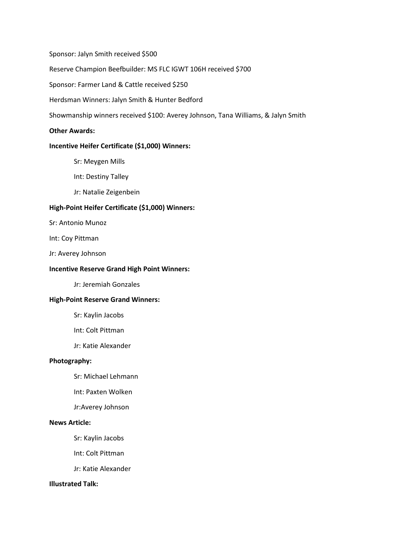Sponsor: Jalyn Smith received \$500

Reserve Champion Beefbuilder: MS FLC IGWT 106H received \$700

Sponsor: Farmer Land & Cattle received \$250

Herdsman Winners: Jalyn Smith & Hunter Bedford

Showmanship winners received \$100: Averey Johnson, Tana Williams, & Jalyn Smith

#### **Other Awards:**

## **Incentive Heifer Certificate (\$1,000) Winners:**

- Sr: Meygen Mills
- Int: Destiny Talley
- Jr: Natalie Zeigenbein

### **High-Point Heifer Certificate (\$1,000) Winners:**

- Sr: Antonio Munoz
- Int: Coy Pittman
- Jr: Averey Johnson

#### **Incentive Reserve Grand High Point Winners:**

Jr: Jeremiah Gonzales

#### **High-Point Reserve Grand Winners:**

- Sr: Kaylin Jacobs
- Int: Colt Pittman
- Jr: Katie Alexander

### **Photography:**

- Sr: Michael Lehmann
- Int: Paxten Wolken
- Jr:Averey Johnson

## **News Article:**

- Sr: Kaylin Jacobs
- Int: Colt Pittman
- Jr: Katie Alexander

### **Illustrated Talk:**